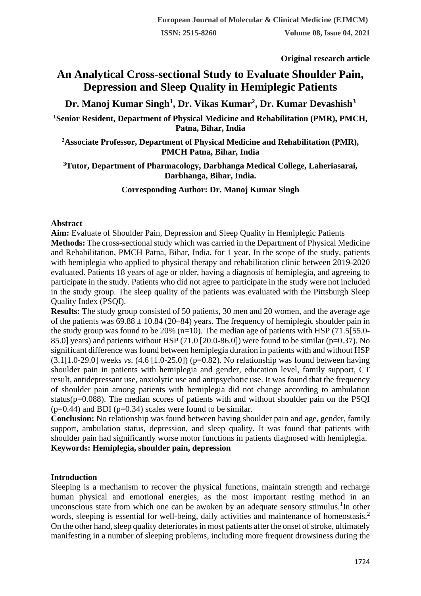**Original research article** 

# **An Analytical Cross-sectional Study to Evaluate Shoulder Pain, Depression and Sleep Quality in Hemiplegic Patients**

**Dr. Manoj Kumar Singh<sup>1</sup> , Dr. Vikas Kumar<sup>2</sup> , Dr. Kumar Devashish<sup>3</sup>**

**<sup>1</sup>Senior Resident, Department of Physical Medicine and Rehabilitation (PMR), PMCH, Patna, Bihar, India**

**<sup>2</sup>Associate Professor, Department of Physical Medicine and Rehabilitation (PMR), PMCH Patna, Bihar, India**

**<sup>3</sup>Tutor, Department of Pharmacology, Darbhanga Medical College, Laheriasarai, Darbhanga, Bihar, India.**

**Corresponding Author: Dr. Manoj Kumar Singh**

### **Abstract**

**Aim:** Evaluate of Shoulder Pain, Depression and Sleep Quality in Hemiplegic Patients **Methods:** The cross-sectional study which was carried in the Department of Physical Medicine and Rehabilitation, PMCH Patna, Bihar, India, for 1 year. In the scope of the study, patients with hemiplegia who applied to physical therapy and rehabilitation clinic between 2019-2020 evaluated. Patients 18 years of age or older, having a diagnosis of hemiplegia, and agreeing to participate in the study. Patients who did not agree to participate in the study were not included in the study group. The sleep quality of the patients was evaluated with the Pittsburgh Sleep Quality Index (PSQI).

**Results:** The study group consisted of 50 patients, 30 men and 20 women, and the average age of the patients was  $69.88 \pm 10.84$  (20–84) years. The frequency of hemiplegic shoulder pain in the study group was found to be 20%  $(n=10)$ . The median age of patients with HSP (71.5[55.0-85.0] years) and patients without HSP (71.0 [20.0-86.0]) were found to be similar ( $p=0.37$ ). No significant difference was found between hemiplegia duration in patients with and without HSP (3.1[1.0-29.0] weeks *vs*. (4.6 [1.0-25.0]) (p=0.82). No relationship was found between having shoulder pain in patients with hemiplegia and gender, education level, family support, CT result, antidepressant use, anxiolytic use and antipsychotic use. It was found that the frequency of shoulder pain among patients with hemiplegia did not change according to ambulation status( $p=0.088$ ). The median scores of patients with and without shoulder pain on the PSOI  $(p=0.44)$  and BDI ( $p=0.34$ ) scales were found to be similar.

**Conclusion:** No relationship was found between having shoulder pain and age, gender, family support, ambulation status, depression, and sleep quality. It was found that patients with shoulder pain had significantly worse motor functions in patients diagnosed with hemiplegia. **Keywords: Hemiplegia, shoulder pain, depression**

# **Introduction**

Sleeping is a mechanism to recover the physical functions, maintain strength and recharge human physical and emotional energies, as the most important resting method in an unconscious state from which one can be awoken by an adequate sensory stimulus.<sup>1</sup>In other words, sleeping is essential for well-being, daily activities and maintenance of homeostasis.<sup>2</sup> On the other hand, sleep quality deteriorates in most patients after the onset of stroke, ultimately manifesting in a number of sleeping problems, including more frequent drowsiness during the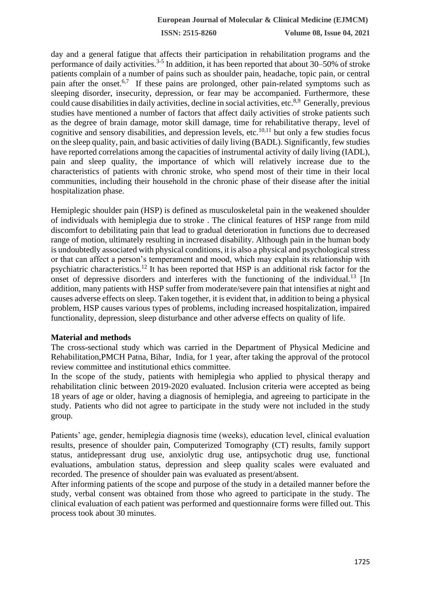day and a general fatigue that affects their participation in rehabilitation programs and the performance of daily activities.<sup>3-5</sup> In addition, it has been reported that about 30–50% of stroke patients complain of a number of pains such as shoulder pain, headache, topic pain, or central pain after the onset.<sup>6,7</sup> If these pains are prolonged, other pain-related symptoms such as sleeping disorder, insecurity, depression, or fear may be accompanied. Furthermore, these could cause disabilities in daily activities, decline in social activities, etc.<sup>8,9</sup> Generally, previous studies have mentioned a number of factors that affect daily activities of stroke patients such as the degree of brain damage, motor skill damage, time for rehabilitative therapy, level of cognitive and sensory disabilities, and depression levels, etc.<sup>10,11</sup> but only a few studies focus on the sleep quality, pain, and basic activities of daily living (BADL). Significantly, few studies have reported correlations among the capacities of instrumental activity of daily living (IADL), pain and sleep quality, the importance of which will relatively increase due to the characteristics of patients with chronic stroke, who spend most of their time in their local communities, including their household in the chronic phase of their disease after the initial hospitalization phase.

Hemiplegic shoulder pain (HSP) is defined as musculoskeletal pain in the weakened shoulder of individuals with hemiplegia due to stroke . The clinical features of HSP range from mild discomfort to debilitating pain that lead to gradual deterioration in functions due to decreased range of motion, ultimately resulting in increased disability. Although pain in the human body is undoubtedly associated with physical conditions, it is also a physical and psychological stress or that can affect a person's temperament and mood, which may explain its relationship with psychiatric characteristics.<sup>12</sup> It has been reported that HSP is an additional risk factor for the onset of depressive disorders and interferes with the functioning of the individual.<sup>13</sup> [In addition, many patients with HSP suffer from moderate/severe pain that intensifies at night and causes adverse effects on sleep. Taken together, it is evident that, in addition to being a physical problem, HSP causes various types of problems, including increased hospitalization, impaired functionality, depression, sleep disturbance and other adverse effects on quality of life.

### **Material and methods**

The cross-sectional study which was carried in the Department of Physical Medicine and Rehabilitation,PMCH Patna, Bihar, India, for 1 year, after taking the approval of the protocol review committee and institutional ethics committee.

In the scope of the study, patients with hemiplegia who applied to physical therapy and rehabilitation clinic between 2019-2020 evaluated. Inclusion criteria were accepted as being 18 years of age or older, having a diagnosis of hemiplegia, and agreeing to participate in the study. Patients who did not agree to participate in the study were not included in the study group.

Patients' age, gender, hemiplegia diagnosis time (weeks), education level, clinical evaluation results, presence of shoulder pain, Computerized Tomography (CT) results, family support status, antidepressant drug use, anxiolytic drug use, antipsychotic drug use, functional evaluations, ambulation status, depression and sleep quality scales were evaluated and recorded. The presence of shoulder pain was evaluated as present/absent.

After informing patients of the scope and purpose of the study in a detailed manner before the study, verbal consent was obtained from those who agreed to participate in the study. The clinical evaluation of each patient was performed and questionnaire forms were filled out. This process took about 30 minutes.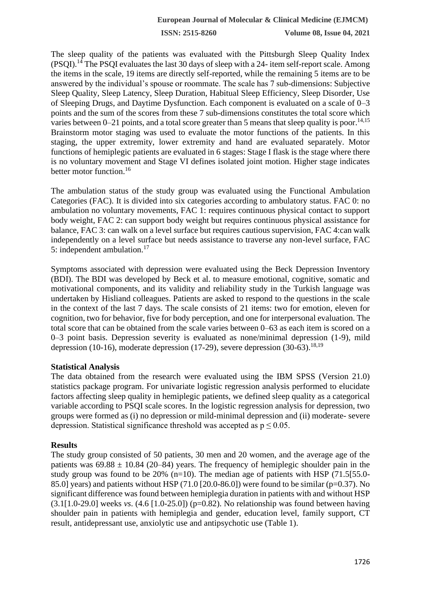The sleep quality of the patients was evaluated with the Pittsburgh Sleep Quality Index (PSQI).<sup>14</sup> The PSQI evaluates the last 30 days of sleep with a 24- item self-report scale. Among the items in the scale, 19 items are directly self-reported, while the remaining 5 items are to be answered by the individual's spouse or roommate. The scale has 7 sub-dimensions: Subjective Sleep Quality, Sleep Latency, Sleep Duration, Habitual Sleep Efficiency, Sleep Disorder, Use of Sleeping Drugs, and Daytime Dysfunction. Each component is evaluated on a scale of 0–3 points and the sum of the scores from these 7 sub-dimensions constitutes the total score which varies between 0–21 points, and a total score greater than 5 means that sleep quality is poor.<sup>14,15</sup> Brainstorm motor staging was used to evaluate the motor functions of the patients. In this staging, the upper extremity, lower extremity and hand are evaluated separately. Motor functions of hemiplegic patients are evaluated in 6 stages: Stage I flask is the stage where there is no voluntary movement and Stage VI defines isolated joint motion. Higher stage indicates better motor function.<sup>16</sup>

The ambulation status of the study group was evaluated using the Functional Ambulation Categories (FAC). It is divided into six categories according to ambulatory status. FAC 0: no ambulation no voluntary movements, FAC 1: requires continuous physical contact to support body weight, FAC 2: can support body weight but requires continuous physical assistance for balance, FAC 3: can walk on a level surface but requires cautious supervision, FAC 4:can walk independently on a level surface but needs assistance to traverse any non-level surface, FAC 5: independent ambulation.<sup>17</sup>

Symptoms associated with depression were evaluated using the Beck Depression Inventory (BDI). The BDI was developed by Beck et al. to measure emotional, cognitive, somatic and motivational components, and its validity and reliability study in the Turkish language was undertaken by Hisliand colleagues. Patients are asked to respond to the questions in the scale in the context of the last 7 days. The scale consists of 21 items: two for emotion, eleven for cognition, two for behavior, five for body perception, and one for interpersonal evaluation. The total score that can be obtained from the scale varies between 0–63 as each item is scored on a 0–3 point basis. Depression severity is evaluated as none/minimal depression (1-9), mild depression (10-16), moderate depression (17-29), severe depression (30-63).<sup>18,19</sup>

### **Statistical Analysis**

The data obtained from the research were evaluated using the IBM SPSS (Version 21.0) statistics package program. For univariate logistic regression analysis performed to elucidate factors affecting sleep quality in hemiplegic patients, we defined sleep quality as a categorical variable according to PSQI scale scores. In the logistic regression analysis for depression, two groups were formed as (i) no depression or mild-minimal depression and (ii) moderate- severe depression. Statistical significance threshold was accepted as  $p \le 0.05$ .

### **Results**

The study group consisted of 50 patients, 30 men and 20 women, and the average age of the patients was  $69.88 \pm 10.84$  (20–84) years. The frequency of hemiplegic shoulder pain in the study group was found to be 20%  $(n=10)$ . The median age of patients with HSP (71.5[55.0-85.0] years) and patients without HSP (71.0 [20.0-86.0]) were found to be similar (p=0.37). No significant difference was found between hemiplegia duration in patients with and without HSP (3.1[1.0-29.0] weeks *vs*. (4.6 [1.0-25.0]) (p=0.82). No relationship was found between having shoulder pain in patients with hemiplegia and gender, education level, family support, CT result, antidepressant use, anxiolytic use and antipsychotic use (Table 1).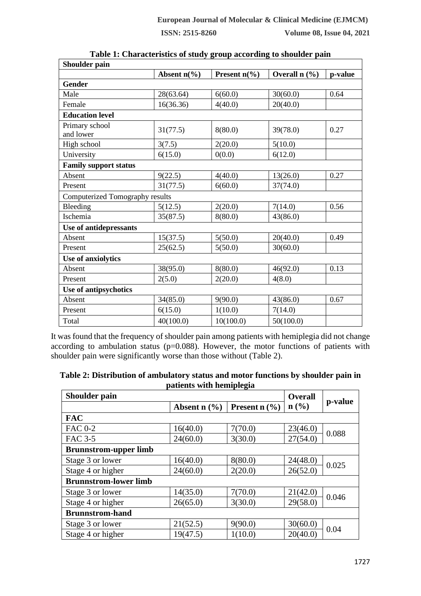| Shoulder pain                          |                                    |                         |                                        |         |
|----------------------------------------|------------------------------------|-------------------------|----------------------------------------|---------|
|                                        | Absent $n\left(\frac{9}{6}\right)$ | Present $n\binom{0}{0}$ | Overall $n$ $\left(\frac{9}{6}\right)$ | p-value |
| <b>Gender</b>                          |                                    |                         |                                        |         |
| Male                                   | 28(63.64)                          | 6(60.0)                 | 30(60.0)                               | 0.64    |
| Female                                 | 16(36.36)                          | 4(40.0)                 | 20(40.0)                               |         |
| <b>Education level</b>                 |                                    |                         |                                        |         |
| Primary school<br>and lower            | 31(77.5)                           | 8(80.0)                 | 39(78.0)                               | 0.27    |
| High school                            | 3(7.5)                             | 2(20.0)                 | 5(10.0)                                |         |
| University                             | 6(15.0)                            | 0(0.0)                  | 6(12.0)                                |         |
| <b>Family support status</b>           |                                    |                         |                                        |         |
| Absent                                 | 9(22.5)                            | 4(40.0)                 | 13(26.0)                               | 0.27    |
| Present                                | 31(77.5)                           | 6(60.0)                 | 37(74.0)                               |         |
| <b>Computerized Tomography results</b> |                                    |                         |                                        |         |
| Bleeding                               | 5(12.5)                            | 2(20.0)                 | 7(14.0)                                | 0.56    |
| Ischemia                               | 35(87.5)                           | 8(80.0)                 | 43(86.0)                               |         |
| Use of antidepressants                 |                                    |                         |                                        |         |
| Absent                                 | 15(37.5)                           | 5(50.0)                 | 20(40.0)                               | 0.49    |
| Present                                | 25(62.5)                           | 5(50.0)                 | 30(60.0)                               |         |
| Use of anxiolytics                     |                                    |                         |                                        |         |
| Absent                                 | 38(95.0)                           | 8(80.0)                 | 46(92.0)                               | 0.13    |
| Present                                | 2(5.0)                             | 2(20.0)                 | 4(8.0)                                 |         |
| Use of antipsychotics                  |                                    |                         |                                        |         |
| Absent                                 | 34(85.0)                           | 9(90.0)                 | 43(86.0)                               | 0.67    |
| Present                                | 6(15.0)                            | 1(10.0)                 | 7(14.0)                                |         |
| Total                                  | 40(100.0)                          | 10(100.0)               | 50(100.0)                              |         |

| Table 1: Characteristics of study group according to shoulder pain |  |  |  |  |
|--------------------------------------------------------------------|--|--|--|--|
|--------------------------------------------------------------------|--|--|--|--|

It was found that the frequency of shoulder pain among patients with hemiplegia did not change according to ambulation status ( $p=0.088$ ). However, the motor functions of patients with shoulder pain were significantly worse than those without (Table 2).

|                              | рансию with пениргеда |                 |                |         |  |
|------------------------------|-----------------------|-----------------|----------------|---------|--|
| <b>Shoulder pain</b>         |                       |                 | <b>Overall</b> |         |  |
|                              | Absent $n$ (%)        | Present $n$ (%) | $n$ (%)        | p-value |  |
| <b>FAC</b>                   |                       |                 |                |         |  |
| <b>FAC 0-2</b>               | 16(40.0)              | 7(70.0)         | 23(46.0)       | 0.088   |  |
| <b>FAC 3-5</b>               | 24(60.0)              | 3(30.0)         | 27(54.0)       |         |  |
| <b>Brunnstrom-upper limb</b> |                       |                 |                |         |  |
| Stage 3 or lower             | 16(40.0)              | 8(80.0)         | 24(48.0)       | 0.025   |  |
| Stage 4 or higher            | 24(60.0)              | 2(20.0)         | 26(52.0)       |         |  |
| <b>Brunnstrom-lower limb</b> |                       |                 |                |         |  |
| Stage 3 or lower             | 14(35.0)              | 7(70.0)         | 21(42.0)       | 0.046   |  |
| Stage 4 or higher            | 26(65.0)              | 3(30.0)         | 29(58.0)       |         |  |
| <b>Brunnstrom-hand</b>       |                       |                 |                |         |  |
| Stage 3 or lower             | 21(52.5)              | 9(90.0)         | 30(60.0)       | 0.04    |  |
| Stage 4 or higher            | 19(47.5)              | 1(10.0)         | 20(40.0)       |         |  |

**Table 2: Distribution of ambulatory status and motor functions by shoulder pain in patients with hemiplegia**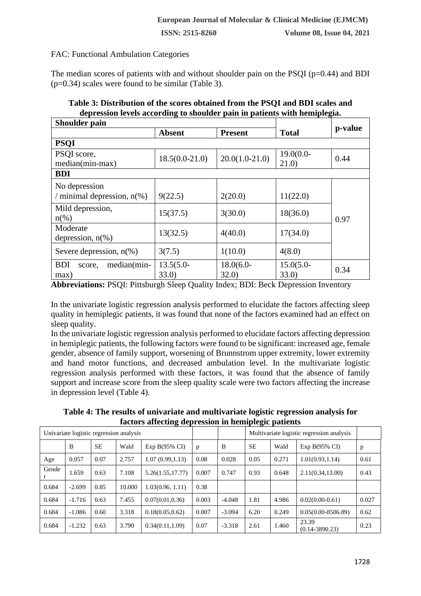# FAC: Functional Ambulation Categories

The median scores of patients with and without shoulder pain on the PSQI ( $p=0.44$ ) and BDI (p=0.34) scales were found to be similar (Table 3).

| approsion it was according to shoulder pain in patients with hemipicguo<br>Shoulder pain |                       |                      |                       |         |  |  |  |  |
|------------------------------------------------------------------------------------------|-----------------------|----------------------|-----------------------|---------|--|--|--|--|
|                                                                                          | <b>Absent</b>         | <b>Present</b>       | <b>Total</b>          | p-value |  |  |  |  |
| <b>PSQI</b>                                                                              |                       |                      |                       |         |  |  |  |  |
| PSQI score,<br>median(min-max)                                                           | $18.5(0.0-21.0)$      | $20.0(1.0-21.0)$     | $19.0(0.0 -$<br>21.0) | 0.44    |  |  |  |  |
| <b>BDI</b>                                                                               |                       |                      |                       |         |  |  |  |  |
| No depression<br>/ minimal depression, $n(\%)$                                           | 9(22.5)               | 2(20.0)              | 11(22.0)              |         |  |  |  |  |
| Mild depression,<br>$n(\%)$                                                              | 15(37.5)              | 3(30.0)              | 18(36.0)              | 0.97    |  |  |  |  |
| Moderate<br>depression, $n\%$ )                                                          | 13(32.5)              | 4(40.0)              | 17(34.0)              |         |  |  |  |  |
| Severe depression, $n$ (%)                                                               | 3(7.5)                | 1(10.0)              | 4(8.0)                |         |  |  |  |  |
| <b>BDI</b><br>median(min-<br>score.<br>max)                                              | $13.5(5.0 -$<br>33.0) | $18.0(6.0-$<br>32.0) | $15.0(5.0 -$<br>33.0) | 0.34    |  |  |  |  |

# **Table 3: Distribution of the scores obtained from the PSQI and BDI scales and depression levels according to shoulder pain in patients with hemiplegia.**

**Abbreviations:** PSQI: Pittsburgh Sleep Quality Index; BDI: Beck Depression Inventory

In the univariate logistic regression analysis performed to elucidate the factors affecting sleep quality in hemiplegic patients, it was found that none of the factors examined had an effect on sleep quality.

In the univariate logistic regression analysis performed to elucidate factors affecting depression in hemiplegic patients, the following factors were found to be significant: increased age, female gender, absence of family support, worsening of Brunnstrom upper extremity, lower extremity and hand motor functions, and decreased ambulation level. In the multivariate logistic regression analysis performed with these factors, it was found that the absence of family support and increase score from the sleep quality scale were two factors affecting the increase in depression level (Table 4).

**Table 4: The results of univariate and multivariate logistic regression analysis for factors affecting depression in hemiplegic patients**

| Univariate logistic regression analysis |          |           |        |                           | Multivariate logistic regression analysis |          |           |       |                             |       |
|-----------------------------------------|----------|-----------|--------|---------------------------|-------------------------------------------|----------|-----------|-------|-----------------------------|-------|
|                                         | B        | <b>SE</b> | Wald   | Exp B $(95\% \text{ CI})$ | p                                         | B        | <b>SE</b> | Wald  | Exp $B(95\% \text{ CI})$    | p     |
| Age                                     | 0.057    | 0.07      | 2.757  | 1.07(0.99, 1.13)          | 0.08                                      | 0.028    | 0.05      | 0.271 | 1.01(0.93, 1.14)            | 0.61  |
| Gende                                   | 1.659    | 0.63      | 7.108  | 5.26(1.55, 17.77)         | 0.007                                     | 0.747    | 0.93      | 0.648 | 2.11(0.34, 13.00)           | 0.43  |
| 0.684                                   | $-2.699$ | 0.85      | 10.000 | 1.03(0.96, 1.11)          | 0.38                                      |          |           |       |                             |       |
| 0.684                                   | $-1.716$ | 0.63      | 7.455  | 0.07(0.01, 0.36)          | 0.003                                     | $-4.048$ | 1.81      | 4.986 | $0.02(0.00-0.61)$           | 0.027 |
| 0.684                                   | $-1.086$ | 0.60      | 3.318  | 0.18(0.05, 0.62)          | 0.007                                     | $-3.094$ | 6.20      | 0.249 | $0.05(0.00 - 8506.89)$      | 0.62  |
| 0.684                                   | $-1.232$ | 0.63      | 3.790  | 0.34(0.11, 1.09)          | 0.07                                      | $-3.318$ | 2.61      | 1.460 | 23.39<br>$(0.14 - 3890.23)$ | 0.23  |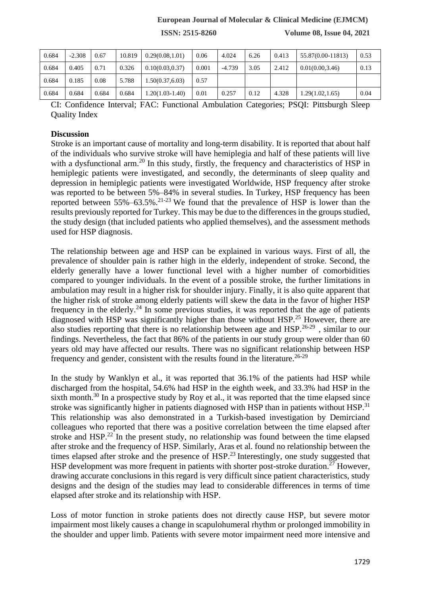# **European Journal of Molecular & Clinical Medicine (EJMCM)**

**ISSN: 2515-8260 Volume 08, Issue 04, 2021**

| 0.684 | $-2.308$ | 0.67  | 10.819 | 0.29(0.08, 1.01)  | 0.06  | 4.024    | 6.26 | 0.413 | 55.87(0.00-11813) | 0.53 |
|-------|----------|-------|--------|-------------------|-------|----------|------|-------|-------------------|------|
| 0.684 | 0.405    | 0.71  | 0.326  | 0.10(0.03, 0.37)  | 0.001 | $-4.739$ | 3.05 | 2.412 | 0.01(0.0033.46)   | 0.13 |
| 0.684 | 0.185    | 0.08  | 5.788  | 1.50(0.37,6.03)   | 0.57  |          |      |       |                   |      |
| 0.684 | 0.684    | 0.684 | 0.684  | $1.20(1.03-1.40)$ | 0.01  | 0.257    | 0.12 | 4.328 | 1.29(1.02, 1.65)  | 0.04 |

CI: Confidence Interval; FAC: Functional Ambulation Categories; PSQI: Pittsburgh Sleep Quality Index

### **Discussion**

Stroke is an important cause of mortality and long-term disability. It is reported that about half of the individuals who survive stroke will have hemiplegia and half of these patients will live with a dysfunctional arm.<sup>20</sup> In this study, firstly, the frequency and characteristics of HSP in hemiplegic patients were investigated, and secondly, the determinants of sleep quality and depression in hemiplegic patients were investigated Worldwide, HSP frequency after stroke was reported to be between 5%–84% in several studies. In Turkey, HSP frequency has been reported between  $55\% -63.5\%$ .<sup>21-23</sup> We found that the prevalence of HSP is lower than the results previously reported for Turkey. This may be due to the differences in the groups studied, the study design (that included patients who applied themselves), and the assessment methods used for HSP diagnosis.

The relationship between age and HSP can be explained in various ways. First of all, the prevalence of shoulder pain is rather high in the elderly, independent of stroke. Second, the elderly generally have a lower functional level with a higher number of comorbidities compared to younger individuals. In the event of a possible stroke, the further limitations in ambulation may result in a higher risk for shoulder injury. Finally, it is also quite apparent that the higher risk of stroke among elderly patients will skew the data in the favor of higher HSP frequency in the elderly.<sup>24</sup> In some previous studies, it was reported that the age of patients diagnosed with HSP was significantly higher than those without HSP.<sup>25</sup> However, there are also studies reporting that there is no relationship between age and  $HSP<sup>26-29</sup>$ , similar to our findings. Nevertheless, the fact that 86% of the patients in our study group were older than 60 years old may have affected our results. There was no significant relationship between HSP frequency and gender, consistent with the results found in the literature.<sup>26-29</sup>

In the study by Wanklyn et al., it was reported that 36.1% of the patients had HSP while discharged from the hospital, 54.6% had HSP in the eighth week, and 33.3% had HSP in the sixth month.<sup>30</sup> In a prospective study by Roy et al., it was reported that the time elapsed since stroke was significantly higher in patients diagnosed with HSP than in patients without HSP.<sup>31</sup> This relationship was also demonstrated in a Turkish-based investigation by Demirciand colleagues who reported that there was a positive correlation between the time elapsed after stroke and  $HSP<sup>22</sup>$  In the present study, no relationship was found between the time elapsed after stroke and the frequency of HSP. Similarly, Aras et al. found no relationship between the times elapsed after stroke and the presence of  $HSP<sup>23</sup>$  Interestingly, one study suggested that HSP development was more frequent in patients with shorter post-stroke duration.<sup>27</sup> However, drawing accurate conclusions in this regard is very difficult since patient characteristics, study designs and the design of the studies may lead to considerable differences in terms of time elapsed after stroke and its relationship with HSP.

Loss of motor function in stroke patients does not directly cause HSP, but severe motor impairment most likely causes a change in scapulohumeral rhythm or prolonged immobility in the shoulder and upper limb. Patients with severe motor impairment need more intensive and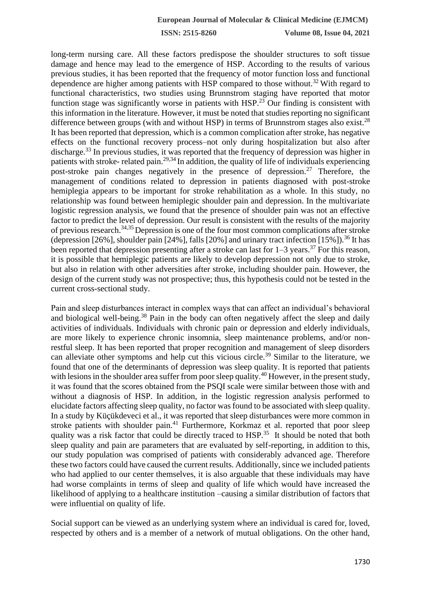long-term nursing care. All these factors predispose the shoulder structures to soft tissue damage and hence may lead to the emergence of HSP. According to the results of various previous studies, it has been reported that the frequency of motor function loss and functional dependence are higher among patients with HSP compared to those without.<sup>32</sup> With regard to functional characteristics, two studies using Brunnstrom staging have reported that motor function stage was significantly worse in patients with  $HSP<sup>23</sup>$  Our finding is consistent with this information in the literature. However, it must be noted that studies reporting no significant difference between groups (with and without HSP) in terms of Brunnstrom stages also exist.<sup>28</sup> It has been reported that depression, which is a common complication after stroke, has negative effects on the functional recovery process–not only during hospitalization but also after discharge.<sup>33</sup> In previous studies, it was reported that the frequency of depression was higher in patients with stroke- related pain.<sup>29,34</sup> In addition, the quality of life of individuals experiencing post-stroke pain changes negatively in the presence of depression.<sup>27</sup> Therefore, the management of conditions related to depression in patients diagnosed with post-stroke hemiplegia appears to be important for stroke rehabilitation as a whole. In this study, no relationship was found between hemiplegic shoulder pain and depression. In the multivariate logistic regression analysis, we found that the presence of shoulder pain was not an effective factor to predict the level of depression. Our result is consistent with the results of the majority of previous research.34,35 Depression is one of the four most common complications after stroke (depression [26%], shoulder pain [24%], falls [20%] and urinary tract infection  $[15\%]$ ).<sup>36</sup> It has been reported that depression presenting after a stroke can last for  $1-3$  years.<sup>37</sup> For this reason, it is possible that hemiplegic patients are likely to develop depression not only due to stroke, but also in relation with other adversities after stroke, including shoulder pain. However, the design of the current study was not prospective; thus, this hypothesis could not be tested in the current cross-sectional study.

Pain and sleep disturbances interact in complex ways that can affect an individual's behavioral and biological well-being.<sup>38</sup> Pain in the body can often negatively affect the sleep and daily activities of individuals. Individuals with chronic pain or depression and elderly individuals, are more likely to experience chronic insomnia, sleep maintenance problems, and/or nonrestful sleep. It has been reported that proper recognition and management of sleep disorders can alleviate other symptoms and help cut this vicious circle.<sup>39</sup> Similar to the literature, we found that one of the determinants of depression was sleep quality. It is reported that patients with lesions in the shoulder area suffer from poor sleep quality.<sup>40</sup> However, in the present study, it was found that the scores obtained from the PSQI scale were similar between those with and without a diagnosis of HSP. In addition, in the logistic regression analysis performed to elucidate factors affecting sleep quality, no factor was found to be associated with sleep quality. In a study by Küçükdeveci et al., it was reported that sleep disturbances were more common in stroke patients with shoulder pain.<sup>41</sup> Furthermore, Korkmaz et al. reported that poor sleep quality was a risk factor that could be directly traced to  $HSP$ <sup>35</sup>. It should be noted that both sleep quality and pain are parameters that are evaluated by self-reporting, in addition to this, our study population was comprised of patients with considerably advanced age. Therefore these two factors could have caused the current results. Additionally, since we included patients who had applied to our center themselves, it is also arguable that these individuals may have had worse complaints in terms of sleep and quality of life which would have increased the likelihood of applying to a healthcare institution –causing a similar distribution of factors that were influential on quality of life.

Social support can be viewed as an underlying system where an individual is cared for, loved, respected by others and is a member of a network of mutual obligations. On the other hand,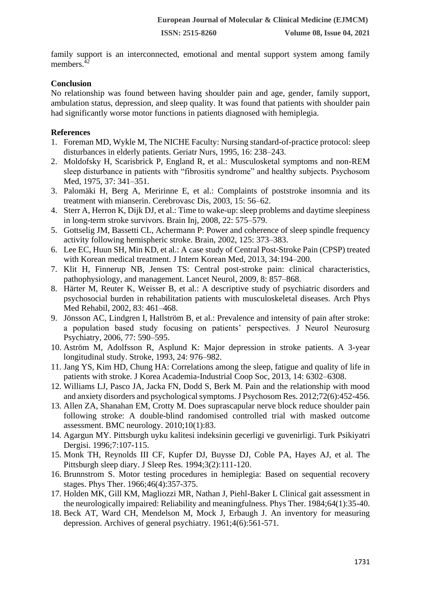family support is an interconnected, emotional and mental support system among family members.<sup>42</sup>

### **Conclusion**

No relationship was found between having shoulder pain and age, gender, family support, ambulation status, depression, and sleep quality. It was found that patients with shoulder pain had significantly worse motor functions in patients diagnosed with hemiplegia.

# **References**

- 1. Foreman MD, Wykle M, The NICHE Faculty: Nursing standard-of-practice protocol: sleep disturbances in elderly patients. Geriatr Nurs, 1995, 16: 238–243.
- 2. Moldofsky H, Scarisbrick P, England R, et al.: Musculosketal symptoms and non-REM sleep disturbance in patients with "fibrositis syndrome" and healthy subjects. Psychosom Med, 1975, 37: 341–351.
- 3. Palomäki H, Berg A, Meririnne E, et al.: Complaints of poststroke insomnia and its treatment with mianserin. Cerebrovasc Dis, 2003, 15: 56–62.
- 4. Sterr A, Herron K, Dijk DJ, et al.: Time to wake-up: sleep problems and daytime sleepiness in long-term stroke survivors. Brain Inj, 2008, 22: 575–579.
- 5. Gottselig JM, Bassetti CL, Achermann P: Power and coherence of sleep spindle frequency activity following hemispheric stroke. Brain, 2002, 125: 373–383.
- 6. Lee EC, Huun SH, Min KD, et al.: A case study of Central Post-Stroke Pain (CPSP) treated with Korean medical treatment. J Intern Korean Med, 2013, 34:194–200.
- 7. Klit H, Finnerup NB, Jensen TS: Central post-stroke pain: clinical characteristics, pathophysiology, and management. Lancet Neurol, 2009, 8: 857–868.
- 8. Härter M, Reuter K, Weisser B, et al.: A descriptive study of psychiatric disorders and psychosocial burden in rehabilitation patients with musculoskeletal diseases. Arch Phys Med Rehabil, 2002, 83: 461–468.
- 9. Jönsson AC, Lindgren I, Hallström B, et al.: Prevalence and intensity of pain after stroke: a population based study focusing on patients' perspectives. J Neurol Neurosurg Psychiatry, 2006, 77: 590–595.
- 10. Aström M, Adolfsson R, Asplund K: Major depression in stroke patients. A 3-year longitudinal study. Stroke, 1993, 24: 976–982.
- 11. Jang YS, Kim HD, Chung HA: Correlations among the sleep, fatigue and quality of life in patients with stroke. J Korea Academia-Industrial Coop Soc, 2013, 14: 6302–6308.
- 12. Williams LJ, Pasco JA, Jacka FN, Dodd S, Berk M. Pain and the relationship with mood and anxiety disorders and psychological symptoms. J Psychosom Res. 2012;72(6):452-456.
- 13. Allen ZA, Shanahan EM, Crotty M. Does suprascapular nerve block reduce shoulder pain following stroke: A double-blind randomised controlled trial with masked outcome assessment. BMC neurology. 2010;10(1):83.
- 14. Agargun MY. Pittsburgh uyku kalitesi indeksinin gecerligi ve guvenirligi. Turk Psikiyatri Dergisi. 1996;7:107-115.
- 15. Monk TH, Reynolds III CF, Kupfer DJ, Buysse DJ, Coble PA, Hayes AJ, et al. The Pittsburgh sleep diary. J Sleep Res. 1994;3(2):111-120.
- 16. Brunnstrom S. Motor testing procedures in hemiplegia: Based on sequential recovery stages. Phys Ther. 1966;46(4):357-375.
- 17. Holden MK, Gill KM, Magliozzi MR, Nathan J, Piehl-Baker L Clinical gait assessment in the neurologically impaired: Reliability and meaningfulness. Phys Ther. 1984;64(1):35-40.
- 18. Beck AT, Ward CH, Mendelson M, Mock J, Erbaugh J. An inventory for measuring depression. Archives of general psychiatry. 1961;4(6):561-571.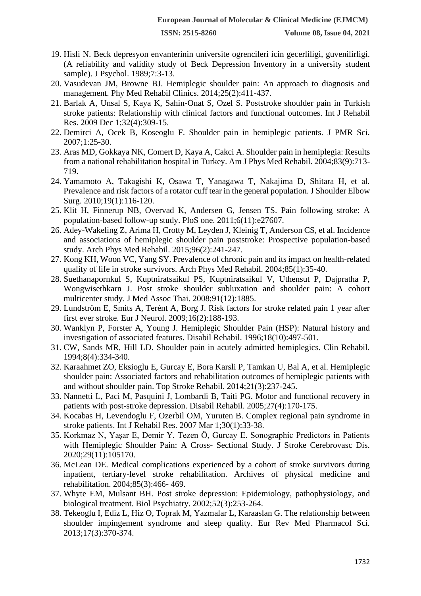- 19. Hisli N. Beck depresyon envanterinin universite ogrencileri icin gecerliligi, guvenilirligi. (A reliability and validity study of Beck Depression Inventory in a university student sample). J Psychol. 1989;7:3-13.
- 20. Vasudevan JM, Browne BJ. Hemiplegic shoulder pain: An approach to diagnosis and management. Phy Med Rehabil Clinics. 2014;25(2):411-437.
- 21. Barlak A, Unsal S, Kaya K, Sahin-Onat S, Ozel S. Poststroke shoulder pain in Turkish stroke patients: Relationship with clinical factors and functional outcomes. Int J Rehabil Res. 2009 Dec 1;32(4):309-15.
- 22. Demirci A, Ocek B, Koseoglu F. Shoulder pain in hemiplegic patients. J PMR Sci. 2007;1:25-30.
- 23. Aras MD, Gokkaya NK, Comert D, Kaya A, Cakci A. Shoulder pain in hemiplegia: Results from a national rehabilitation hospital in Turkey. Am J Phys Med Rehabil. 2004;83(9):713- 719.
- 24. Yamamoto A, Takagishi K, Osawa T, Yanagawa T, Nakajima D, Shitara H, et al. Prevalence and risk factors of a rotator cuff tear in the general population. J Shoulder Elbow Surg. 2010;19(1):116-120.
- 25. Klit H, Finnerup NB, Overvad K, Andersen G, Jensen TS. Pain following stroke: A population-based follow-up study. PloS one. 2011;6(11):e27607.
- 26. Adey-Wakeling Z, Arima H, Crotty M, Leyden J, Kleinig T, Anderson CS, et al. Incidence and associations of hemiplegic shoulder pain poststroke: Prospective population-based study. Arch Phys Med Rehabil. 2015;96(2):241-247.
- 27. Kong KH, Woon VC, Yang SY. Prevalence of chronic pain and its impact on health-related quality of life in stroke survivors. Arch Phys Med Rehabil. 2004;85(1):35-40.
- 28. Suethanapornkul S, Kuptniratsaikul PS, Kuptniratsaikul V, Uthensut P, Dajpratha P, Wongwisethkarn J. Post stroke shoulder subluxation and shoulder pain: A cohort multicenter study. J Med Assoc Thai. 2008;91(12):1885.
- 29. Lundström E, Smits A, Terént A, Borg J. Risk factors for stroke related pain 1 year after first ever stroke. Eur J Neurol. 2009;16(2):188-193.
- 30. Wanklyn P, Forster A, Young J. Hemiplegic Shoulder Pain (HSP): Natural history and investigation of associated features. Disabil Rehabil. 1996;18(10):497-501.
- 31. CW, Sands MR, Hill LD. Shoulder pain in acutely admitted hemiplegics. Clin Rehabil. 1994;8(4):334-340.
- 32. Karaahmet ZO, Eksioglu E, Gurcay E, Bora Karsli P, Tamkan U, Bal A, et al. Hemiplegic shoulder pain: Associated factors and rehabilitation outcomes of hemiplegic patients with and without shoulder pain. Top Stroke Rehabil. 2014;21(3):237-245.
- 33. Nannetti L, Paci M, Pasquini J, Lombardi B, Taiti PG. Motor and functional recovery in patients with post-stroke depression. Disabil Rehabil. 2005;27(4):170-175.
- 34. Kocabas H, Levendoglu F, Ozerbil OM, Yuruten B. Complex regional pain syndrome in stroke patients. Int J Rehabil Res. 2007 Mar 1;30(1):33-38.
- 35. Korkmaz N, Yaşar E, Demir Y, Tezen Ö, Gurcay E. Sonographic Predictors in Patients with Hemiplegic Shoulder Pain: A Cross- Sectional Study. J Stroke Cerebrovasc Dis. 2020;29(11):105170.
- 36. McLean DE. Medical complications experienced by a cohort of stroke survivors during inpatient, tertiary-level stroke rehabilitation. Archives of physical medicine and rehabilitation. 2004;85(3):466- 469.
- 37. Whyte EM, Mulsant BH. Post stroke depression: Epidemiology, pathophysiology, and biological treatment. Biol Psychiatry. 2002;52(3):253-264.
- 38. Tekeoglu I, Ediz L, Hiz O, Toprak M, Yazmalar L, Karaaslan G. The relationship between shoulder impingement syndrome and sleep quality. Eur Rev Med Pharmacol Sci. 2013;17(3):370-374.